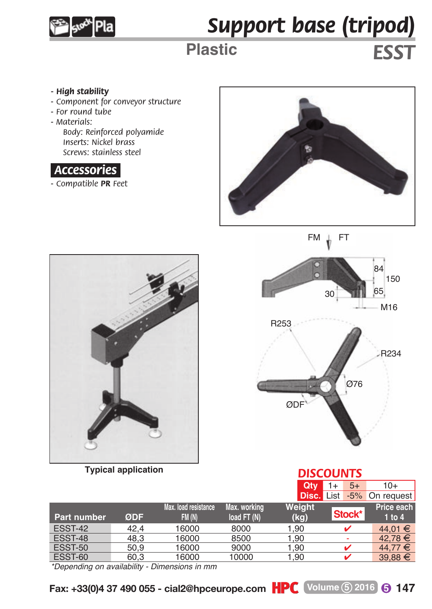

## *Support base (tripod)*

## **Plastic** *ESST*

- *High stability*
- *Component for conveyor structure*
- *For round tube*
- *Materials:*

*Body: Reinforced polyamide Inserts: Nickel brass Screws: stainless steel*

## *.Accessories.*

*- Compatible PR Feet*





**Typical application**



*DISCOUNTS*

| . 7.0.001. 0.0001.0001.001 |      |                       |              | DISCOUNTS |            |                                  |
|----------------------------|------|-----------------------|--------------|-----------|------------|----------------------------------|
|                            |      |                       |              | Qtv.      | $5+$<br>1+ | 10+                              |
|                            |      |                       |              |           |            | <b>Disc.</b> List -5% On request |
|                            |      | Max. load resistance. | Max. working | Weight    |            | Price each                       |
| Part number                | ØDF  | FM(N)                 | load FT (N)  | (kg)      | Stock*     | $1$ to $4$                       |
| ESST-42                    | 42.4 | 16000                 | 8000         | 1.90      |            | 44.01 €                          |
| ESST-48                    | 48.3 | 16000                 | 8500         | 1.90      |            | 42.78 €                          |
| ESST-50                    | 50.9 | 16000                 | 9000         | 1.90      |            | $44.77 \in$                      |
| ESST-60                    | 60,3 | 16000                 | 10000        | 1.90      |            | $39,88 \in$                      |

*\*Depending on availability - Dimensions in mm*